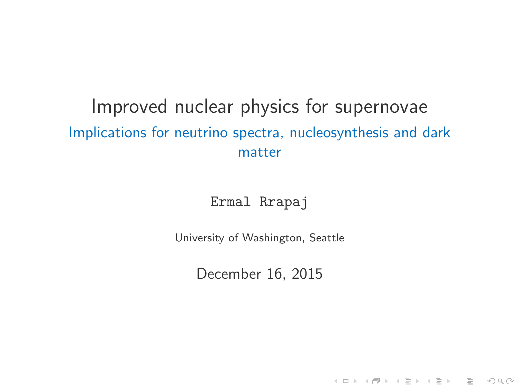## <span id="page-0-0"></span>Improved nuclear physics for supernovae Implications for neutrino spectra, nucleosynthesis and dark matter

Ermal Rrapaj

<span id="page-0-1"></span>University of Washington, Seattle

December 16, 2015

-<br>-<br>-<br>-<br>-<br>-<br>-<br>-<br>-<br>-<br>-<br><br>-<br><br><br><br><br><br><br><br><br><br><br><br><br><br><br><br><br><br><br><br><br><br><br><br><br><br><br><br><br>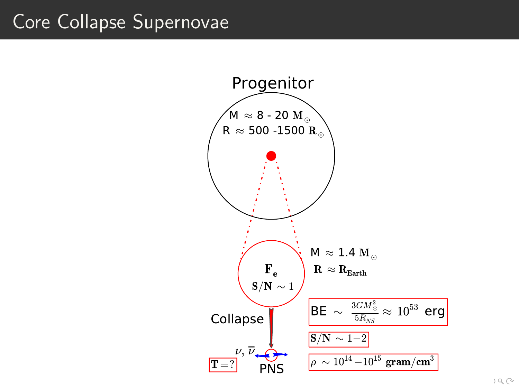# Core Collapse Supernovae

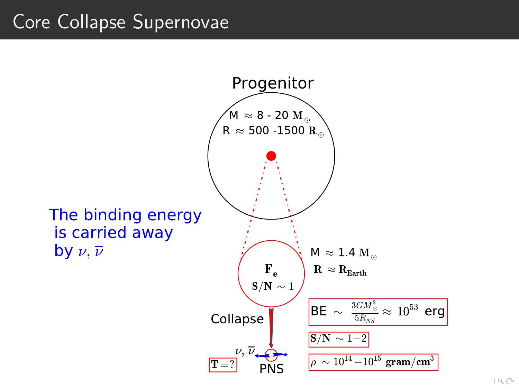# Core Collapse Supernovae

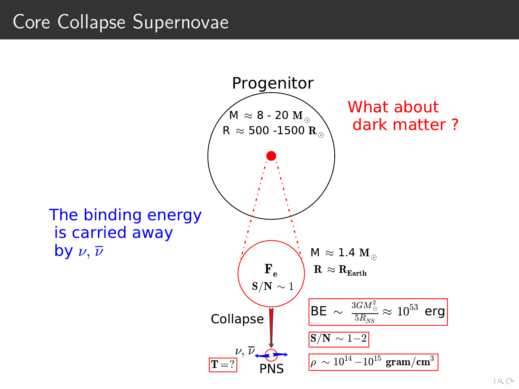# Core Collapse Supernovae

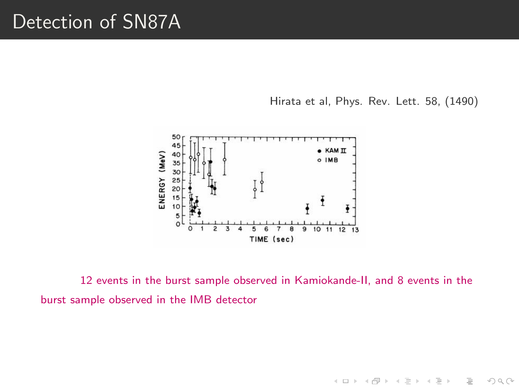## Detection of SN87A

Hirata et al, Phys. Rev. Lett. 58, (1490)

イロト イ部 トイモト イモト

 $\equiv$ 

 $OQ$ 



12 events in the burst sample observed in Kamiokande-II, and 8 events in the burst sample observed in the IMB detector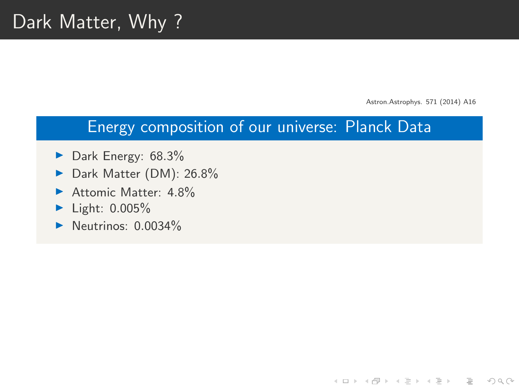Astron.Astrophys. 571 (2014) A16

**KED KARD KED KED E VOOR** 

#### Energy composition of our universe: Planck Data

- $\blacktriangleright$  Dark Energy: 68.3%
- Dark Matter (DM): 26.8%
- Attomic Matter:  $4.8\%$
- $\blacktriangleright$  Light: 0.005%
- $\blacktriangleright$  Neutrinos: 0.0034%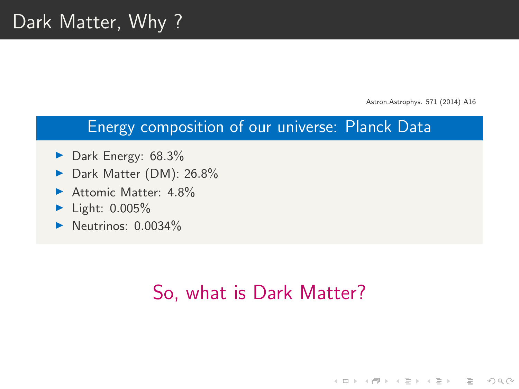Astron.Astrophys. 571 (2014) A16

KEEK (FER KEEK EEK) OR A

#### Energy composition of our universe: Planck Data

- $\blacktriangleright$  Dark Energy: 68.3%
- Dark Matter (DM): 26.8%
- Attomic Matter:  $4.8\%$
- $\blacktriangleright$  Light: 0.005%
- $\blacktriangleright$  Neutrinos: 0.0034%

# So, what is Dark Matter?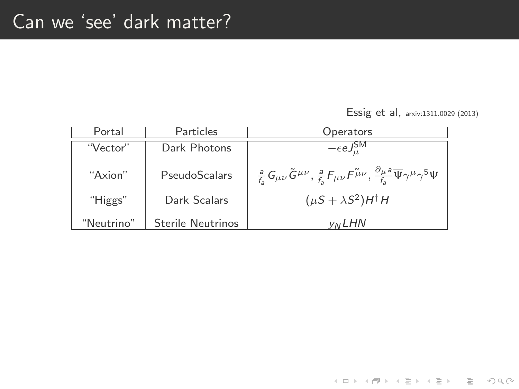Essig et al, arxiv:1311.0029 (2013)

イロト イ団ト イミト イミト ニミー りんぺ

<span id="page-7-0"></span>

| Portal     | Particles                | Operators                                                                                                                                                                   |
|------------|--------------------------|-----------------------------------------------------------------------------------------------------------------------------------------------------------------------------|
| "Vector"   | Dark Photons             | $-\epsilon eJ_u^{\rm SM}$                                                                                                                                                   |
| "Axion"    | PseudoScalars            | $\frac{a}{f_{\rm s}}\,G_{\mu\nu}\,\tilde{G}^{\mu\nu}, \frac{a}{f_{\rm s}}F_{\mu\nu}F^{\tilde\mu\nu}, \frac{\partial_\mu a}{f_{\rm s}}\overline{\Psi}\gamma^\mu\gamma^5\Psi$ |
| "Higgs"    | Dark Scalars             | $(\mu S + \lambda S^2)H^{\dagger}H$                                                                                                                                         |
| "Neutrino" | <b>Sterile Neutrinos</b> | <b>VNLHN</b>                                                                                                                                                                |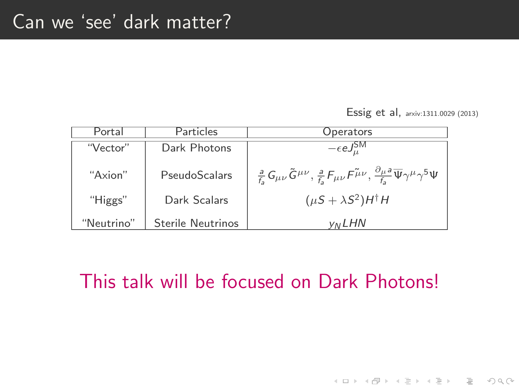Essig et al, arxiv:1311.0029 (2013)

イロト イ団ト イミト イミト ニミー りんぺ

| Portal     | Particles         | Operators                                                                                                                                                                            |
|------------|-------------------|--------------------------------------------------------------------------------------------------------------------------------------------------------------------------------------|
| "Vector"   | Dark Photons      | $-\epsilon e J^{\rm SM}_{\mu}$                                                                                                                                                       |
| "Axion"    | PseudoScalars     | $\tfrac{a}{f_{\rm s}} G_{\mu\nu} \tilde{G}^{\mu\nu}, \tfrac{a}{f_{\rm s}} F_{\mu\nu} F^{\tilde{\mu}\nu}, \tfrac{\partial_\mu a}{f_{\rm s}} \overline{\Psi} \gamma^\mu \gamma^5 \Psi$ |
| "Higgs"    | Dark Scalars      | $(\mu S + \lambda S^2)H^{\dagger}H$                                                                                                                                                  |
| "Neutrino" | Sterile Neutrinos | <b>VNLHN</b>                                                                                                                                                                         |

## <span id="page-8-0"></span>This talk will be focused on Dark Photons!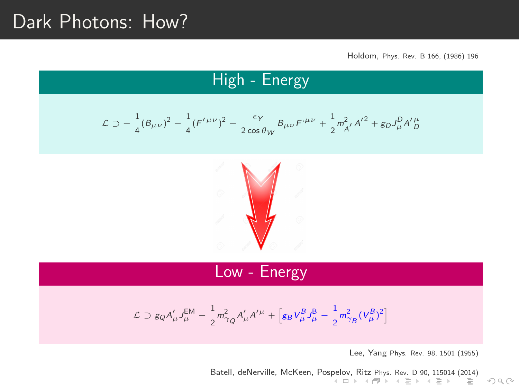## Dark Photons: How?

### High - Energy

$$
\mathcal{L} \supset -\frac{1}{4} (B_{\mu\nu})^2 - \frac{1}{4} (F^{\prime \mu\nu})^2 - \frac{\epsilon_Y}{2 \cos \theta_W} B_{\mu\nu} F^{\mu\nu} + \frac{1}{2} m_{A'}^2 A^{\prime 2} + g_D J^D_\mu A^{\prime \mu}_D
$$



### Low - Energy

<span id="page-9-0"></span>
$$
\mathcal{L} \supset g_Q A'_\mu J_\mu^{\text{EM}} - \frac{1}{2} m_{\gamma_Q}^2 A'_\mu A'^\mu + \left[ g_B V_\mu^B J_\mu^{\text{B}} - \frac{1}{2} m_{\gamma_B}^2 (V_\mu^B)^2 \right]
$$

Lee, Yang Phys. Rev. 98, 1501 (1955)

 $OQ$ 

Batell, deNerville, McKeen, Pos[pelo](#page-8-0)v[, R](#page-10-0)[it](#page-7-0)[z](#page-8-0) [Ph](#page-9-0)[ys.](#page-10-0) [R](#page-7-0)[ev.](#page-8-0) [D](#page-26-0) [9](#page-27-0)[0,](#page-7-0) [11](#page-8-0)[5014](#page-0-0) [\(20](#page-0-1)[14\)](#page-0-0)<br> $\Box$   $\rightarrow$   $\Box$   $\rightarrow$   $\Box$   $\rightarrow$   $\Box$   $\rightarrow$   $\Box$   $\rightarrow$   $\Box$   $\rightarrow$   $\Box$   $\equiv$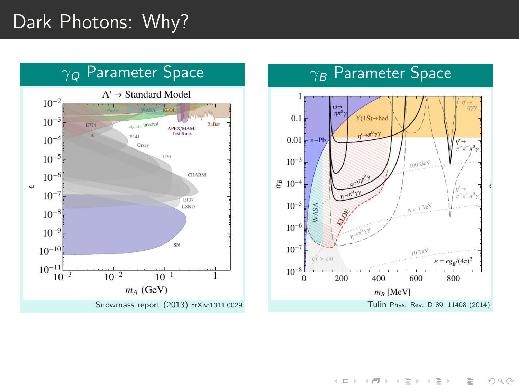# Dark Photons: Why?

<span id="page-10-0"></span>

### $\sqrt{g}$  Parameter Space



イロト イ押 トイヨ トイヨト  $\equiv$  $OQ$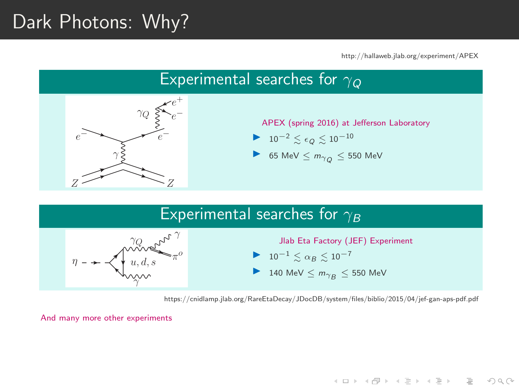# Dark Photons: Why?

http://hallaweb.jlab.org/experiment/APEX

**KED KARD KED KED E VOOR** 





140 MeV  $\leq m_{\gamma_B} \leq 550$  MeV

https://cnidlamp.jlab.org/RareEtaDecay/JDocDB/system/files/biblio/2015/04/jef-gan-aps-pdf.pdf

And many more other experiments

γ

 $u, d, s$ 

 $\pi^o$ o

 $\eta$  –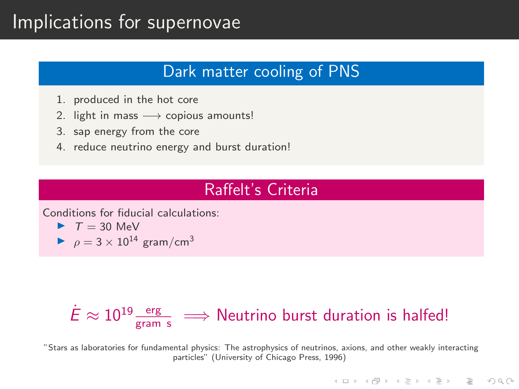## Implications for supernovae

### Dark matter cooling of PNS

- 1. produced in the hot core
- 2. light in mass  $\longrightarrow$  copious amounts!
- 3. sap energy from the core
- 4. reduce neutrino energy and burst duration!

#### Raffelt's Criteria

Conditions for fiducial calculations:

- $\blacktriangleright$   $T = 30$  MeV
- $\rho = 3 \times 10^{14}$  gram/cm<sup>3</sup>

# $\dot{E}\approx 10^{19}\frac{\rm erg}{\rm g\, cm\ s}\ \Longrightarrow$  Neutrino burst duration is halfed!

"Stars as laboratories for fundamental physics: The astrophysics of neutrinos, axions, and other weakly interacting particles" (University of Chicago Press, 1996)

**A DIA K PIA K BIA K BIA K DA K BIA K DA CA**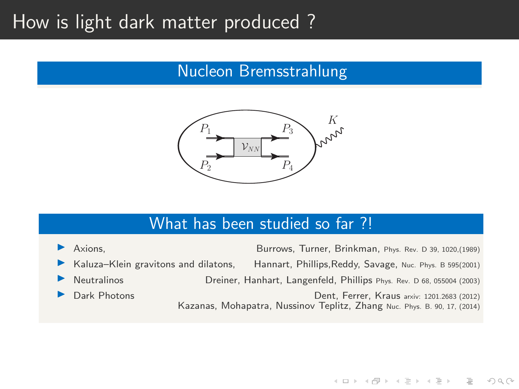## How is light dark matter produced ?

### Nucleon Bremsstrahlung



#### What has been studied so far ?!

I Axions, Burrows, Turner, Brinkman, Phys. Rev. D 39, 1020,(1989) Kaluza-Klein gravitons and dilatons, Hannart, Phillips, Reddy, Savage, Nuc. Phys. B 595(2001) I Neutralinos Dreiner, Hanhart, Langenfeld, Phillips Phys. Rev. D 68, 055004 (2003) I Dark Photons Dent, Ferrer, Kraus arxiv: 1201.2683 (2012) Kazanas, Mohapatra, Nussinov Teplitz, Zhang Nuc. Phys. B. 90, 17, (2014)

 $\mathcal{A} \equiv \mathcal{A} \Rightarrow \mathcal{A} \equiv \mathcal{A} \Rightarrow \mathcal{A} \equiv \mathcal{A} \Rightarrow \mathcal{A} \equiv \mathcal{A} \Rightarrow \mathcal{A} \equiv \mathcal{A} \Rightarrow \mathcal{A} \equiv \mathcal{A} \Rightarrow \mathcal{A} \equiv \mathcal{A} \Rightarrow \mathcal{A} \equiv \mathcal{A} \Rightarrow \mathcal{A} \equiv \mathcal{A} \Rightarrow \mathcal{A} \equiv \mathcal{A} \Rightarrow \mathcal{A} \equiv \mathcal{A} \Rightarrow \mathcal{A} \equiv \mathcal{A} \Rightarrow \mathcal{A} \equiv \mathcal{A} \Rightarrow \mathcal{A} \equiv \mathcal{$ 

 $\equiv$ 

 $OQ$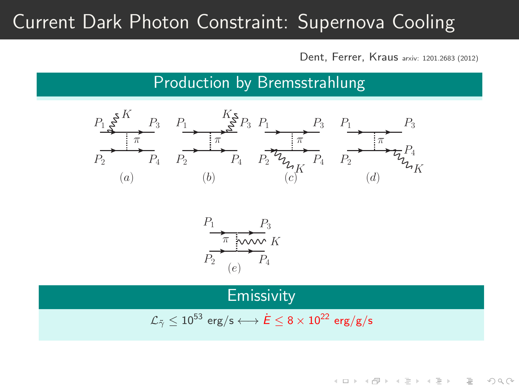# Current Dark Photon Constraint: Supernova Cooling

Dent, Ferrer, Kraus arxiv: 1201.2683 (2012)

イロト イ押ト イヨト イヨト

 $\equiv$ 

 $OQ$ 

Production by Bremsstrahlung



$$
P_1 \longrightarrow P_3
$$
\n
$$
P_2 \longrightarrow P_4
$$
\n
$$
(e)
$$
\n
$$
P_4
$$

**Emissivity** 

$$
\mathcal{L}_{\tilde{\gamma}} \leq 10^{53} \, \, \text{erg/s} \longleftrightarrow \dot{E} \leq 8 \times 10^{22} \, \, \text{erg/g/s}
$$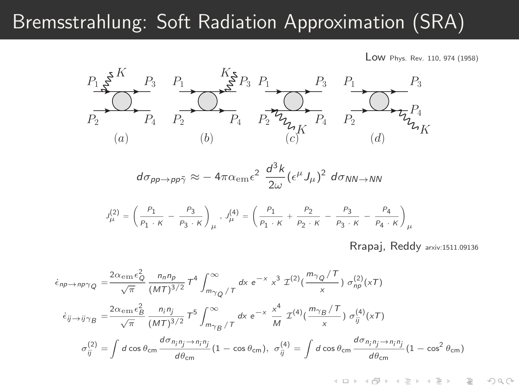## Bremsstrahlung: Soft Radiation Approximation (SRA)

Low Phys. Rev. 110, 974 (1958)



$$
d\sigma_{pp\to pp\tilde{\gamma}} \approx -\, 4\pi \alpha_{\rm em} \epsilon^2 \, \frac{d^3 k}{2\omega} (\epsilon^\mu J_\mu)^2 \, d\sigma_{NN\to NN}
$$

$$
J_{\mu}^{(2)} = \left(\frac{P_1}{P_1 \cdot K} - \frac{P_3}{P_3 \cdot K}\right)_{\mu}, J_{\mu}^{(4)} = \left(\frac{P_1}{P_1 \cdot K} + \frac{P_2}{P_2 \cdot K} - \frac{P_3}{P_3 \cdot K} - \frac{P_4}{P_4 \cdot K}\right)_{\mu}
$$

Rrapaj, Reddy arxiv:1511.09136

 $\equiv$ 

 $OQ$ 

 $\equiv$ 

 $4$  ロ )  $4$  何 )  $4$  ラ )  $4$ 

$$
\dot{\epsilon}_{np \to np\gamma Q} = \frac{2\alpha_{em}\epsilon_Q^2}{\sqrt{\pi}} \frac{n_n n_p}{(MT)^{3/2}} T^4 \int_{m_{\gamma Q}}^{\infty} \tau \, dx \, e^{-x} \, x^3 \, \mathcal{I}^{(2)}\left(\frac{m_{\gamma Q}/T}{x}\right) \, \sigma_{np}^{(2)}(xT)
$$
\n
$$
\dot{\epsilon}_{ij \to ij\gamma B} = \frac{2\alpha_{em}\epsilon_B^2}{\sqrt{\pi}} \frac{n_i n_j}{(MT)^{3/2}} T^5 \int_{m_{\gamma B}}^{\infty} \tau \, dx \, e^{-x} \, \frac{x^4}{M} \, \mathcal{I}^{(4)}\left(\frac{m_{\gamma B}/T}{x}\right) \, \sigma_{ij}^{(4)}(xT)
$$
\n
$$
\sigma_{ij}^{(2)} = \int d\cos\theta_{cm} \frac{d\sigma_{n_i n_j \to n_i n_j}}{d\theta_{cm}} (1 - \cos\theta_{cm}), \, \sigma_{ij}^{(4)} = \int d\cos\theta_{cm} \frac{d\sigma_{n_i n_j \to n_i n_j}}{d\theta_{cm}} (1 - \cos^2\theta_{cm})
$$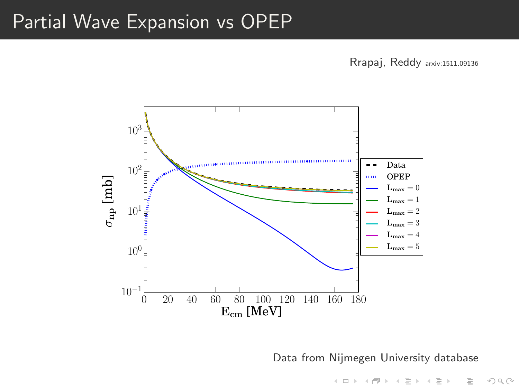## Partial Wave Expansion vs OPEP

Rrapaj, Reddy arxiv:1511.09136



Data from Nijmegen University database

イロト イ押 トイヨ トイヨト

 $\equiv$ 

 $\circledcirc \circledcirc \circledcirc$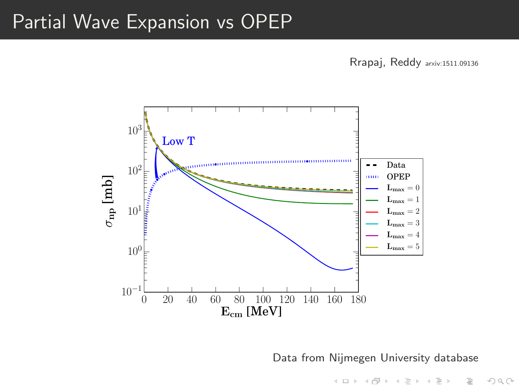## Partial Wave Expansion vs OPEP

Rrapaj, Reddy arxiv:1511.09136



Data from Nijmegen University database

イロト イ押 トイヨ トイヨト

 $\equiv$ 

 $\circledcirc \circledcirc \circledcirc$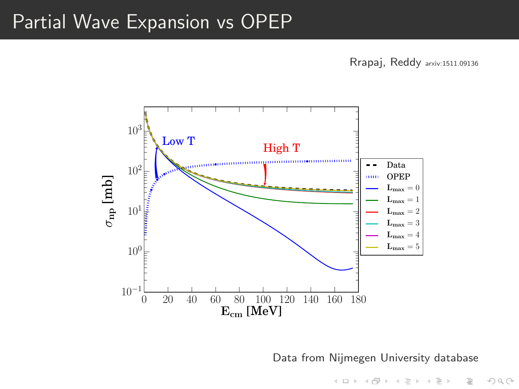## Partial Wave Expansion vs OPEP

Rrapaj, Reddy arxiv:1511.09136



Data from Nijmegen University database

イロト イ押 トイヨ トイヨト

 $\equiv$ 

 $\circledcirc \circledcirc \circledcirc$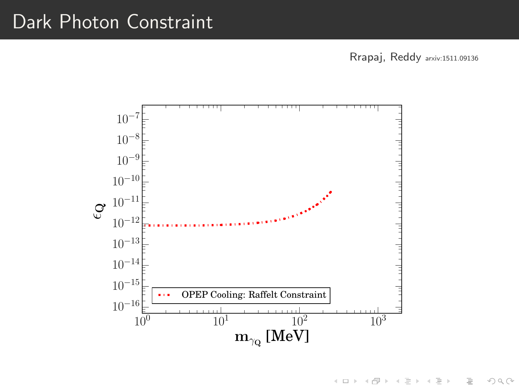Rrapaj, Reddy arxiv:1511.09136



K ロト K 倒 ト K 差 ト  $\equiv$   $\rightarrow$  $\equiv$  $OQ$  $\sim$  4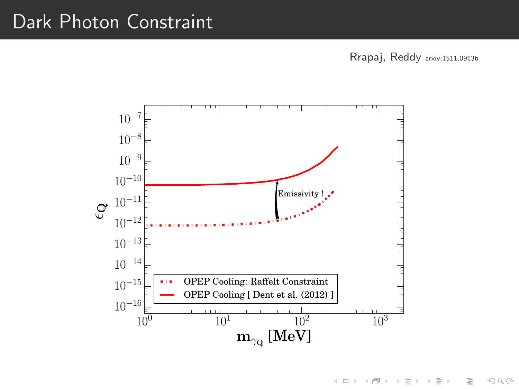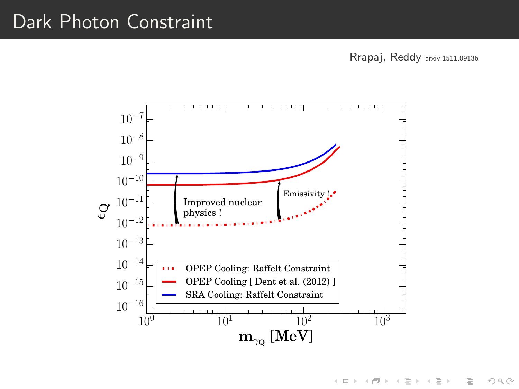Rrapaj, Reddy arxiv:1511.09136

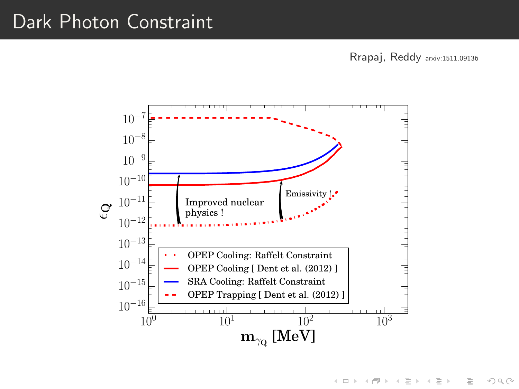Rrapaj, Reddy arxiv:1511.09136

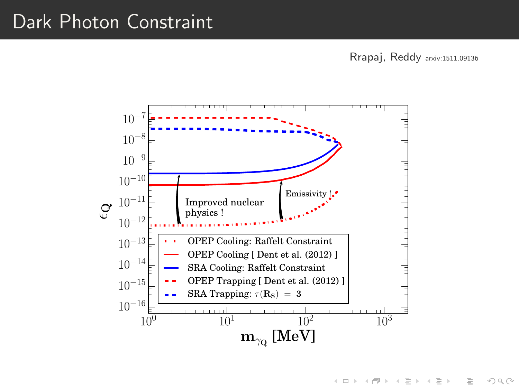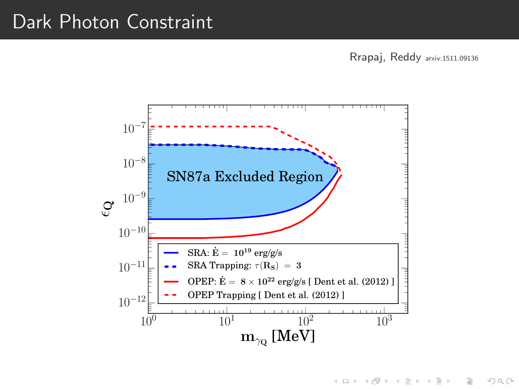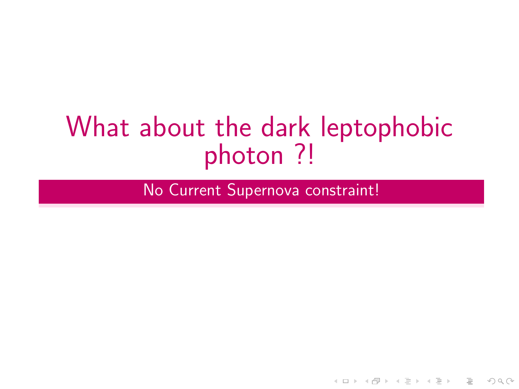# What about the dark leptophobic photon ?!

No Current Supernova constraint!

KEEK (FER KEEK EEK) OR A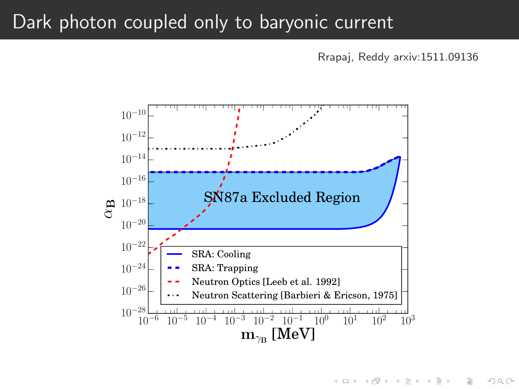## Dark photon coupled only to baryonic current

Rrapaj, Reddy arxiv:1511.09136

イロト イ部 トイモト イモト

 $\bar{z}$ 

 $OQ$ 

<span id="page-26-0"></span>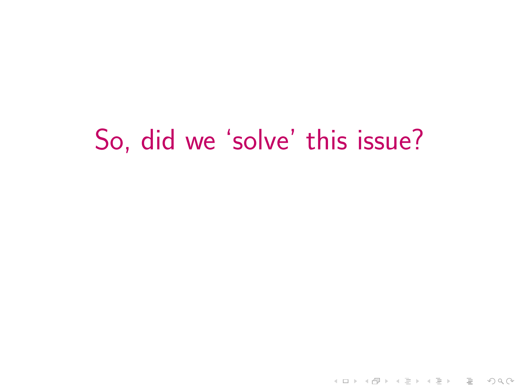# <span id="page-27-0"></span>So, did we 'solve' this issue?

K ロ > K 레 > K 로 > K 로 > 트로 - 9 Q Q +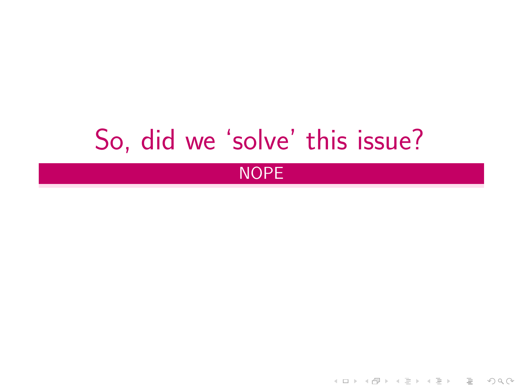# So, did we 'solve' this issue?

### NOPE

イロト イ団ト イミト イミト ニミー りんぺ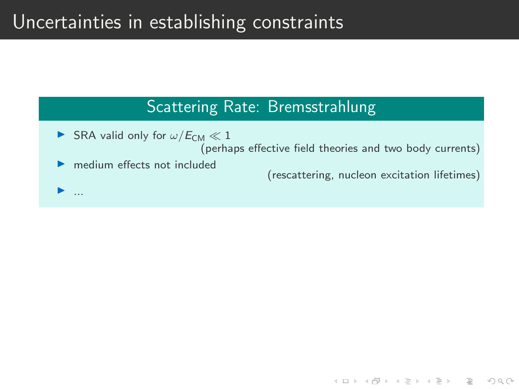## Uncertainties in establishing constraints

#### Scattering Rate: Bremsstrahlung

- SRA valid only for  $\omega/E_{CM} \ll 1$ (perhaps effective field theories and two body currents) medium effects not included (rescattering, nucleon excitation lifetimes)
	-

**KED KARD KED KED E VOOR** 

I ...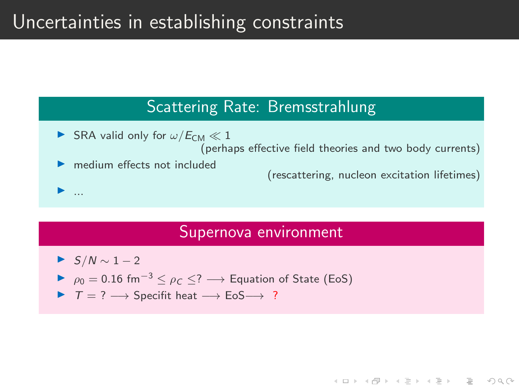## Uncertainties in establishing constraints

#### Scattering Rate: Bremsstrahlung

SRA valid only for  $\omega/E_{CM} \ll 1$ (perhaps effective field theories and two body currents) medium effects not included (rescattering, nucleon excitation lifetimes) I ...

#### Supernova environment

**A DIA K PIA K BIA K BIA K DA K BIA K DA CA** 

\n- $$
S/N \sim 1-2
$$
\n- $\rho_0 = 0.16 \, \text{fm}^{-3} \leq \rho_C \leq ? \longrightarrow \text{Equation of State (EoS)}$
\n- $T = ? \longrightarrow \text{Specific heat} \longrightarrow \text{EoS} \longrightarrow ?$
\n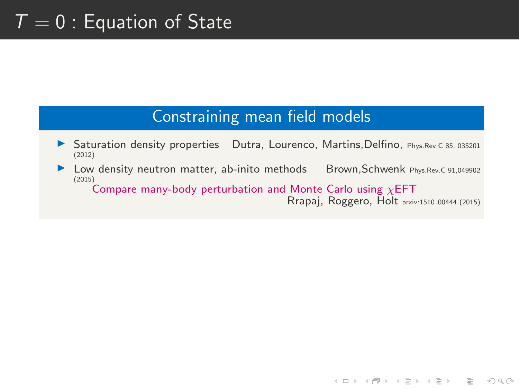# $T = 0$ : Equation of State

### Constraining mean field models

- ▶ Saturation density properties Dutra, Lourenco, Martins, Delfino, Phys.Rev.C 85, 035201 (2012)
- ▶ Low density neutron matter, ab-inito methods Brown,Schwenk Phys.Rev.C 91,049902 (2015)

Compare many-body perturbation and Monte Carlo using  $\chi$ EFT

Rrapaj, Roggero, Holt arxiv:1510.00444 (2015)

**KED KARD KED KED E VOOR**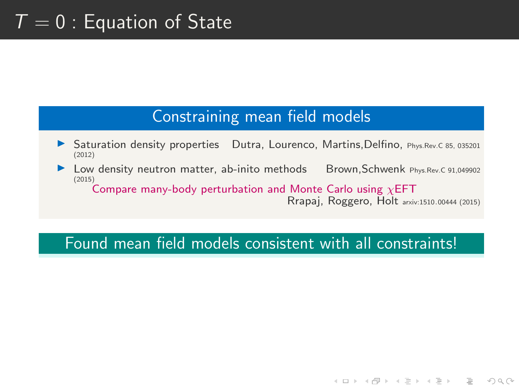# $T = 0$ : Equation of State

#### Constraining mean field models

- Saturation density properties Dutra, Lourenco, Martins,Delfino, Phys.Rev.C 85, 035201 (2012)
- ▶ Low density neutron matter, ab-inito methods Brown,Schwenk Phys.Rev.C 91,049902 (2015)

Compare many-body perturbation and Monte Carlo using  $\chi$ EFT

Rrapaj, Roggero, Holt arxiv:1510.00444 (2015)

**A DIA K PIA K BIA K BIA K DA K BIA K DA CA** 

#### Found mean field models consistent with all constraints!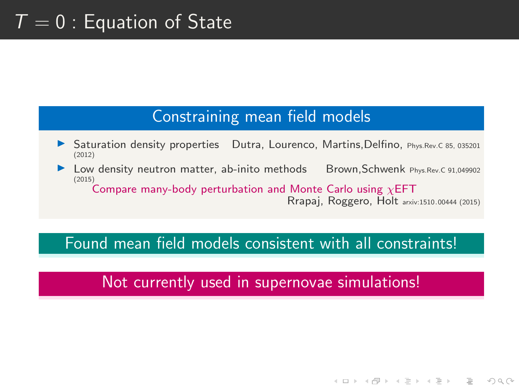# $T = 0$ : Equation of State

#### Constraining mean field models

- Saturation density properties Dutra, Lourenco, Martins,Delfino, Phys.Rev.C 85, 035201 (2012)
- Low density neutron matter, ab-inito methods Brown,Schwenk Phys.Rev.C 91,049902 (2015)

Compare many-body perturbation and Monte Carlo using  $\chi$ EFT

Rrapaj, Roggero, Holt arxiv:1510.00444 (2015)

**A DIA K PIA K BIA K BIA K DA K BIA K DA CA** 

#### Found mean field models consistent with all constraints!

### Not currently used in supernovae simulations!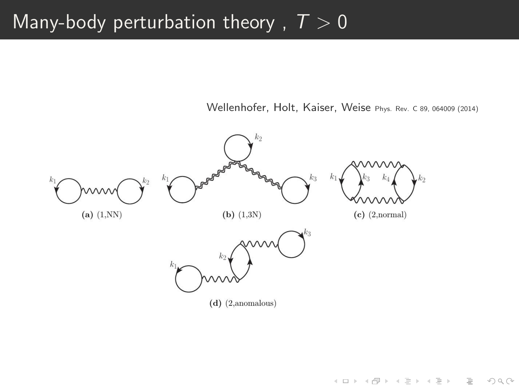# Many-body perturbation theory,  $T > 0$

Wellenhofer, Holt, Kaiser, Weise Phys. Rev. C 89, 064009 (2014)

KEEK (FER KEEK EEK) OR A

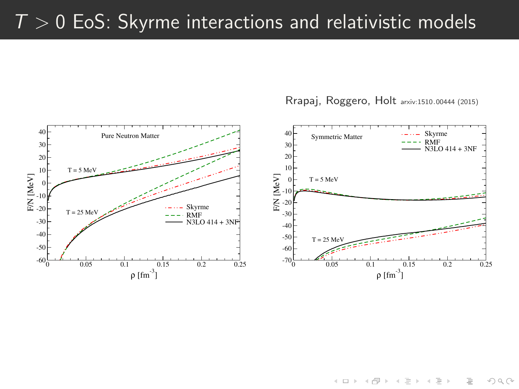# $T > 0$  EoS: Skyrme interactions and relativistic models



Rrapaj, Roggero, Holt arxiv:1510.00444 (2015)

 $\mathbf{1} \oplus \mathbf{1} \rightarrow \mathbf{1} \oplus \mathbf{1} \rightarrow \mathbf{1} \oplus \mathbf{1} \rightarrow \mathbf{1} \oplus \mathbf{1} \rightarrow \mathbf{1} \oplus \mathbf{1} \rightarrow \mathbf{1} \oplus \mathbf{1} \rightarrow \mathbf{1} \oplus \mathbf{1} \rightarrow \mathbf{1} \oplus \mathbf{1} \rightarrow \mathbf{1} \oplus \mathbf{1} \rightarrow \mathbf{1} \oplus \mathbf{1} \rightarrow \mathbf{1} \oplus \mathbf{1} \rightarrow \mathbf{1} \oplus \mathbf{1} \rightarrow \mathbf{1} \oplus \mathbf{1} \$  $\circledcirc \circledcirc \circledcirc$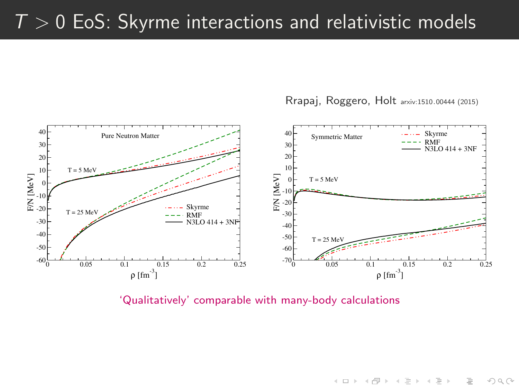# $T > 0$  EoS: Skyrme interactions and relativistic models



Rrapaj, Roggero, Holt arxiv:1510.00444 (2015)

'Qualitatively' comparable with many-body calculations

 $\mathcal{L} \equiv \mathcal{L} \equiv \mathcal{L} \equiv \mathcal{L} \equiv \mathcal{L} \equiv \mathcal{L} \equiv \mathcal{L} \equiv \mathcal{L} \equiv \mathcal{L} \equiv \mathcal{L} \equiv \mathcal{L} \equiv \mathcal{L} \equiv \mathcal{L} \equiv \mathcal{L} \equiv \mathcal{L} \equiv \mathcal{L} \equiv \mathcal{L} \equiv \mathcal{L} \equiv \mathcal{L} \equiv \mathcal{L} \equiv \mathcal{L} \equiv \mathcal{L} \equiv \mathcal{L} \equiv \mathcal{L} \equiv \mathcal{L} \equiv \mathcal{L} \equiv \mathcal{L} \equiv \mathcal{$  $OQ$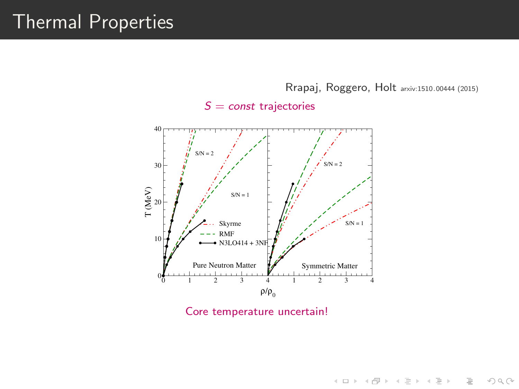# Thermal Properties

Rrapaj, Roggero, Holt arxiv:1510.00444 (2015)

 $S = const$  trajectories



Core temperature uncertain!

K ロ > K 레 > K 코 > K 코 > 트로드 > O Q O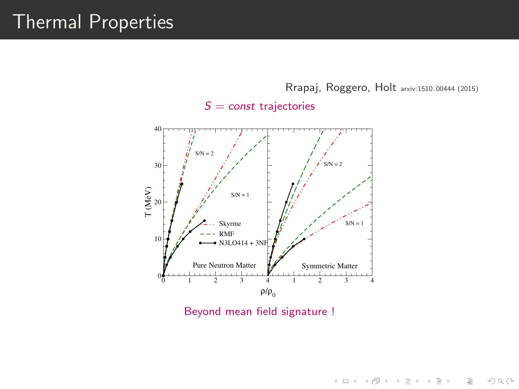# Thermal Properties

Rrapaj, Roggero, Holt arxiv:1510.00444 (2015)

 $S = const$  trajectories



Beyond mean field signature !

 $\mathcal{A} \otimes \mathcal{B} \rightarrow \mathcal{A} \otimes \mathcal{B} \rightarrow \mathcal{A} \otimes \mathcal{B} \rightarrow \mathcal{A} \otimes \mathcal{B} \rightarrow \mathcal{B}$  $\equiv$  $\circledcirc \circledcirc \circledcirc$